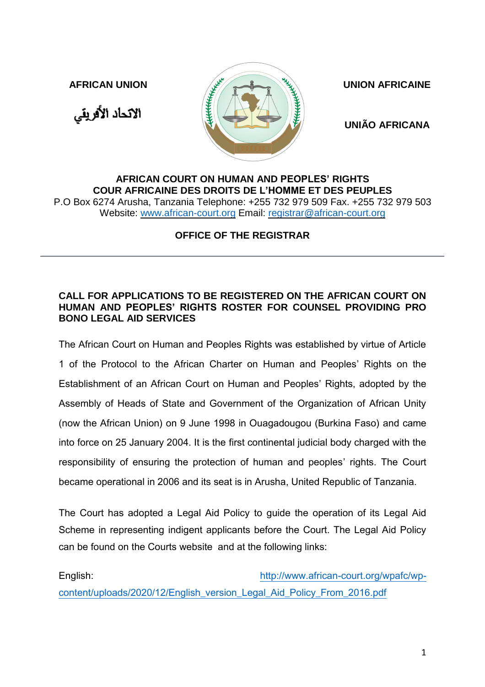الاتحاد الأفريقي



**UNIÃO AFRICANA**

## **AFRICAN COURT ON HUMAN AND PEOPLES' RIGHTS COUR AFRICAINE DES DROITS DE L'HOMME ET DES PEUPLES**

P.O Box 6274 Arusha, Tanzania Telephone: +255 732 979 509 Fax. +255 732 979 503 Website: [www.african-court.org](http://www.african-court.org/) Email: [registrar@african-court.org](mailto:registrar@african-court.org)

**OFFICE OF THE REGISTRAR**

## **CALL FOR APPLICATIONS TO BE REGISTERED ON THE AFRICAN COURT ON HUMAN AND PEOPLES' RIGHTS ROSTER FOR COUNSEL PROVIDING PRO BONO LEGAL AID SERVICES**

The African Court on Human and Peoples Rights was established by virtue of Article 1 of the Protocol to the African Charter on Human and Peoples' Rights on the Establishment of an African Court on Human and Peoples' Rights, adopted by the Assembly of Heads of State and Government of the Organization of African Unity (now the African Union) on 9 June 1998 in Ouagadougou (Burkina Faso) and came into force on 25 January 2004. It is the first continental judicial body charged with the responsibility of ensuring the protection of human and peoples' rights. The Court became operational in 2006 and its seat is in Arusha, United Republic of Tanzania.

The Court has adopted a Legal Aid Policy to guide the operation of its Legal Aid Scheme in representing indigent applicants before the Court. The Legal Aid Policy can be found on the Courts website and at the following links:

English: [http://www.african-court.org/wpafc/wp](http://www.african-court.org/wpafc/wp-content/uploads/2020/12/English_version_Legal_Aid_Policy_From_2016.pdf)[content/uploads/2020/12/English\\_version\\_Legal\\_Aid\\_Policy\\_From\\_2016.pdf](http://www.african-court.org/wpafc/wp-content/uploads/2020/12/English_version_Legal_Aid_Policy_From_2016.pdf)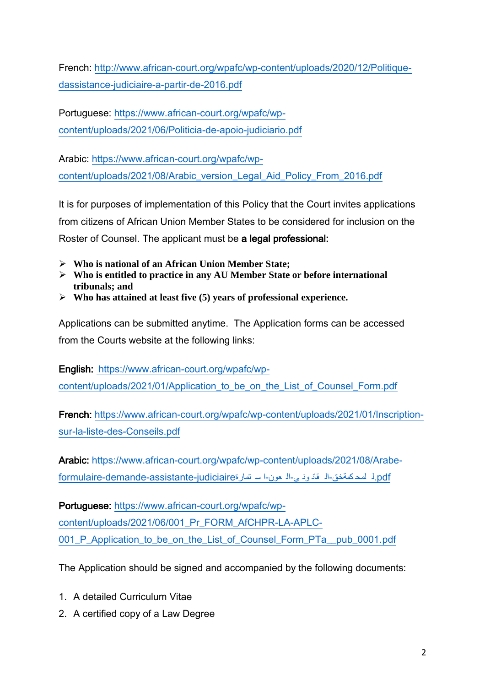French: [http://www.african-court.org/wpafc/wp-content/uploads/2020/12/Politique](http://www.african-court.org/wpafc/wp-content/uploads/2020/12/Politique-dassistance-judiciaire-a-partir-de-2016.pdf)[dassistance-judiciaire-a-partir-de-2016.pdf](http://www.african-court.org/wpafc/wp-content/uploads/2020/12/Politique-dassistance-judiciaire-a-partir-de-2016.pdf)

Portuguese: [https://www.african-court.org/wpafc/wp](https://www.african-court.org/wpafc/wp-content/uploads/2021/06/Politicia-de-apoio-judiciario.pdf)[content/uploads/2021/06/Politicia-de-apoio-judiciario.pdf](https://www.african-court.org/wpafc/wp-content/uploads/2021/06/Politicia-de-apoio-judiciario.pdf)

Arabic: [https://www.african-court.org/wpafc/wp](https://www.african-court.org/wpafc/wp-content/uploads/2021/08/Arabic_version_Legal_Aid_Policy_From_2016.pdf)[content/uploads/2021/08/Arabic\\_version\\_Legal\\_Aid\\_Policy\\_From\\_2016.pdf](https://www.african-court.org/wpafc/wp-content/uploads/2021/08/Arabic_version_Legal_Aid_Policy_From_2016.pdf)

It is for purposes of implementation of this Policy that the Court invites applications from citizens of African Union Member States to be considered for inclusion on the Roster of Counsel. The applicant must be a legal professional:

- **Who is national of an African Union Member State;**
- **Who is entitled to practice in any AU Member State or before international tribunals; and**
- **Who has attained at least five (5) years of professional experience.**

Applications can be submitted anytime. The Application forms can be accessed from the Courts website at the following links:

English: [https://www.african-court.org/wpafc/wp](https://www.african-court.org/wpafc/wp-content/uploads/2021/01/Application_to_be_on_the_List_of_Counsel_Form.pdf)[content/uploads/2021/01/Application\\_to\\_be\\_on\\_the\\_List\\_of\\_Counsel\\_Form.pdf](https://www.african-court.org/wpafc/wp-content/uploads/2021/01/Application_to_be_on_the_List_of_Counsel_Form.pdf)

French: [https://www.african-court.org/wpafc/wp-content/uploads/2021/01/Inscription](https://www.african-court.org/wpafc/wp-content/uploads/2021/01/Inscription-sur-la-liste-des-Conseils.pdf)[sur-la-liste-des-Conseils.pdf](https://www.african-court.org/wpafc/wp-content/uploads/2021/01/Inscription-sur-la-liste-des-Conseils.pdf)

Arabic: [https://www.african-court.org/wpafc/wp-content/uploads/2021/08/Arabe](https://www.african-court.org/wpafc/wp-content/uploads/2021/08/Arabe-formulaire-demande-assistante-judiciaireاستمارة-العون-القانوني-للمحكمةخق.pdf)[formulaire-demande-assistante-judiciaire](https://www.african-court.org/wpafc/wp-content/uploads/2021/08/Arabe-formulaire-demande-assistante-judiciaireاستمارة-العون-القانوني-للمحكمةخق.pdf)تمارة س ا-عون ال-ي ون قان ال-كمةخق لمح ل.pdf

Portuguese: [https://www.african-court.org/wpafc/wp](https://www.african-court.org/wpafc/wp-content/uploads/2021/06/001_Pr_FORM_AfCHPR-LA-APLC-001_P_Application_to_be_on_the_List_of_Counsel_Form_PTa__pub_0001.pdf)[content/uploads/2021/06/001\\_Pr\\_FORM\\_AfCHPR-LA-APLC-](https://www.african-court.org/wpafc/wp-content/uploads/2021/06/001_Pr_FORM_AfCHPR-LA-APLC-001_P_Application_to_be_on_the_List_of_Counsel_Form_PTa__pub_0001.pdf)[001\\_P\\_Application\\_to\\_be\\_on\\_the\\_List\\_of\\_Counsel\\_Form\\_PTa\\_\\_pub\\_0001.pdf](https://www.african-court.org/wpafc/wp-content/uploads/2021/06/001_Pr_FORM_AfCHPR-LA-APLC-001_P_Application_to_be_on_the_List_of_Counsel_Form_PTa__pub_0001.pdf)

The Application should be signed and accompanied by the following documents:

- 1. A detailed Curriculum Vitae
- 2. A certified copy of a Law Degree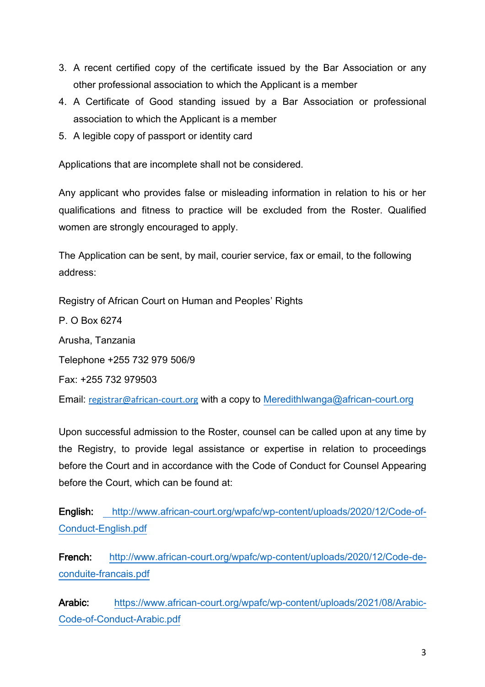- 3. A recent certified copy of the certificate issued by the Bar Association or any other professional association to which the Applicant is a member
- 4. A Certificate of Good standing issued by a Bar Association or professional association to which the Applicant is a member
- 5. A legible copy of passport or identity card

Applications that are incomplete shall not be considered.

Any applicant who provides false or misleading information in relation to his or her qualifications and fitness to practice will be excluded from the Roster. Qualified women are strongly encouraged to apply.

The Application can be sent, by mail, courier service, fax or email, to the following address:

Registry of African Court on Human and Peoples' Rights

P. O Box 6274 Arusha, Tanzania Telephone +255 732 979 506/9 Fax: +255 732 979503 Email: [registrar@african-court.org](mailto:registrar@african-court.org) with a copy to [Meredithlwanga@african-court.org](mailto:Meredithlwanga@african-court.org)

Upon successful admission to the Roster, counsel can be called upon at any time by the Registry, to provide legal assistance or expertise in relation to proceedings before the Court and in accordance with the Code of Conduct for Counsel Appearing before the Court, which can be found at:

English: [http://www.african-court.org/wpafc/wp-content/uploads/2020/12/Code-of-](http://www.african-court.org/wpafc/wp-content/uploads/2020/12/Code-of-Conduct-English.pdf)[Conduct-English.pdf](http://www.african-court.org/wpafc/wp-content/uploads/2020/12/Code-of-Conduct-English.pdf)

French: [http://www.african-court.org/wpafc/wp-content/uploads/2020/12/Code-de](http://www.african-court.org/wpafc/wp-content/uploads/2020/12/Code-de-conduite-francais.pdf)[conduite-francais.pdf](http://www.african-court.org/wpafc/wp-content/uploads/2020/12/Code-de-conduite-francais.pdf)

Arabic: [https://www.african-court.org/wpafc/wp-content/uploads/2021/08/Arabic-](https://www.african-court.org/wpafc/wp-content/uploads/2021/08/Arabic-Code-of-Conduct-Arabic.pdf)[Code-of-Conduct-Arabic.pdf](https://www.african-court.org/wpafc/wp-content/uploads/2021/08/Arabic-Code-of-Conduct-Arabic.pdf)